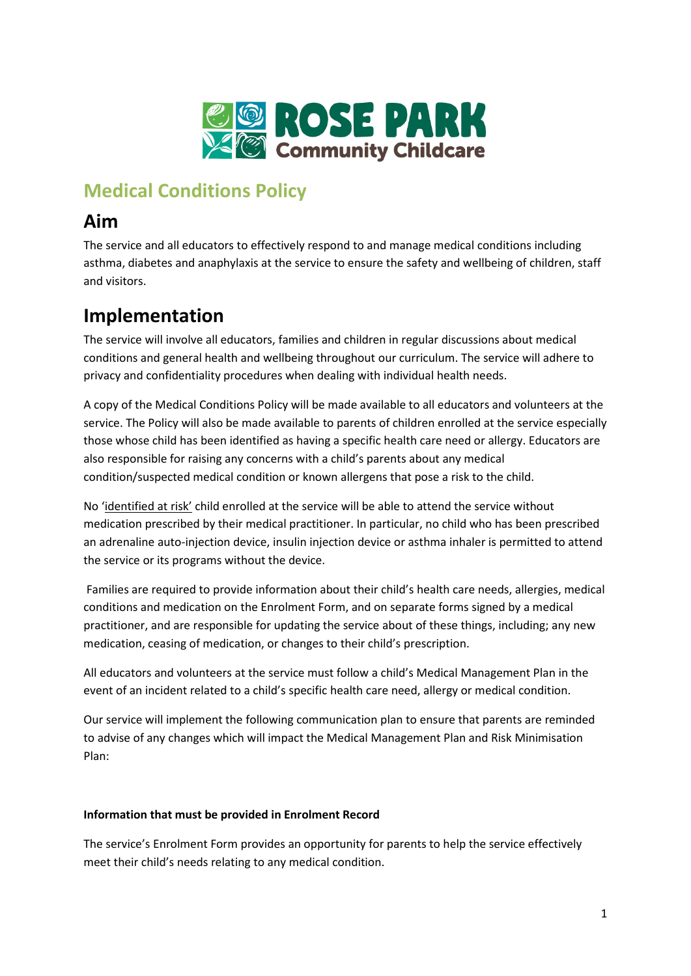

# **Medical Conditions Policy**

# **Aim**

The service and all educators to effectively respond to and manage medical conditions including asthma, diabetes and anaphylaxis at the service to ensure the safety and wellbeing of children, staff and visitors.

# **Implementation**

The service will involve all educators, families and children in regular discussions about medical conditions and general health and wellbeing throughout our curriculum. The service will adhere to privacy and confidentiality procedures when dealing with individual health needs.

A copy of the Medical Conditions Policy will be made available to all educators and volunteers at the service. The Policy will also be made available to parents of children enrolled at the service especially those whose child has been identified as having a specific health care need or allergy. Educators are also responsible for raising any concerns with a child's parents about any medical condition/suspected medical condition or known allergens that pose a risk to the child.

No 'identified at risk' child enrolled at the service will be able to attend the service without medication prescribed by their medical practitioner. In particular, no child who has been prescribed an adrenaline auto-injection device, insulin injection device or asthma inhaler is permitted to attend the service or its programs without the device.

Families are required to provide information about their child's health care needs, allergies, medical conditions and medication on the Enrolment Form, and on separate forms signed by a medical practitioner, and are responsible for updating the service about of these things, including; any new medication, ceasing of medication, or changes to their child's prescription.

All educators and volunteers at the service must follow a child's Medical Management Plan in the event of an incident related to a child's specific health care need, allergy or medical condition.

Our service will implement the following communication plan to ensure that parents are reminded to advise of any changes which will impact the Medical Management Plan and Risk Minimisation Plan:

# **Information that must be provided in Enrolment Record**

The service's Enrolment Form provides an opportunity for parents to help the service effectively meet their child's needs relating to any medical condition.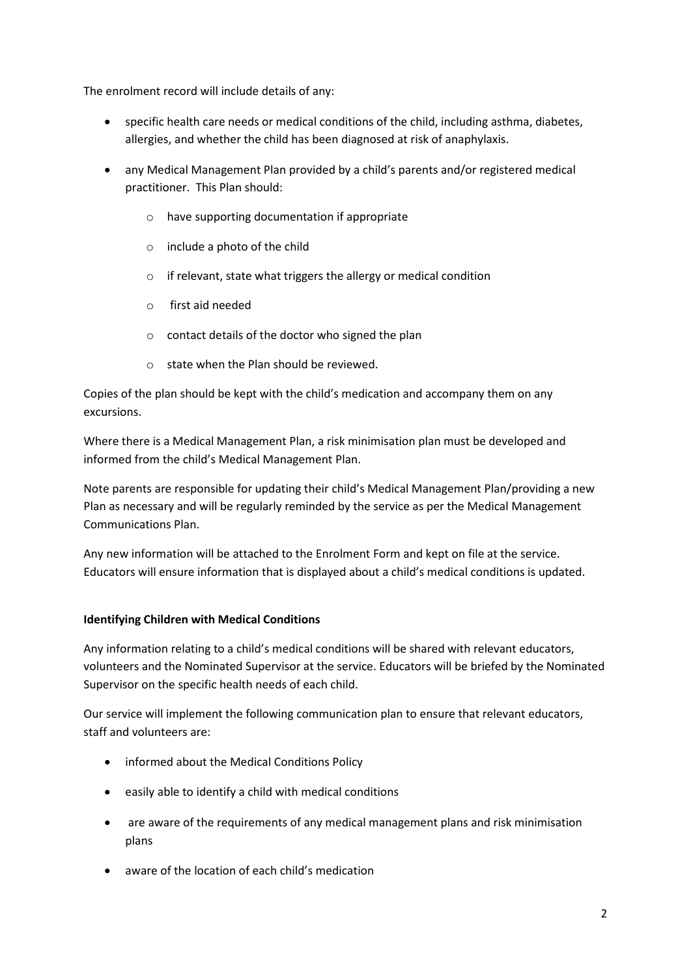The enrolment record will include details of any:

- specific health care needs or medical conditions of the child, including asthma, diabetes, allergies, and whether the child has been diagnosed at risk of anaphylaxis.
- any Medical Management Plan provided by a child's parents and/or registered medical practitioner. This Plan should:
	- o have supporting documentation if appropriate
	- o include a photo of the child
	- o if relevant, state what triggers the allergy or medical condition
	- o first aid needed
	- o contact details of the doctor who signed the plan
	- o state when the Plan should be reviewed.

Copies of the plan should be kept with the child's medication and accompany them on any excursions.

Where there is a Medical Management Plan, a risk minimisation plan must be developed and informed from the child's Medical Management Plan.

Note parents are responsible for updating their child's Medical Management Plan/providing a new Plan as necessary and will be regularly reminded by the service as per the Medical Management Communications Plan.

Any new information will be attached to the Enrolment Form and kept on file at the service. Educators will ensure information that is displayed about a child's medical conditions is updated.

## **Identifying Children with Medical Conditions**

Any information relating to a child's medical conditions will be shared with relevant educators, volunteers and the Nominated Supervisor at the service. Educators will be briefed by the Nominated Supervisor on the specific health needs of each child.

Our service will implement the following communication plan to ensure that relevant educators, staff and volunteers are:

- informed about the Medical Conditions Policy
- easily able to identify a child with medical conditions
- are aware of the requirements of any medical management plans and risk minimisation plans
- aware of the location of each child's medication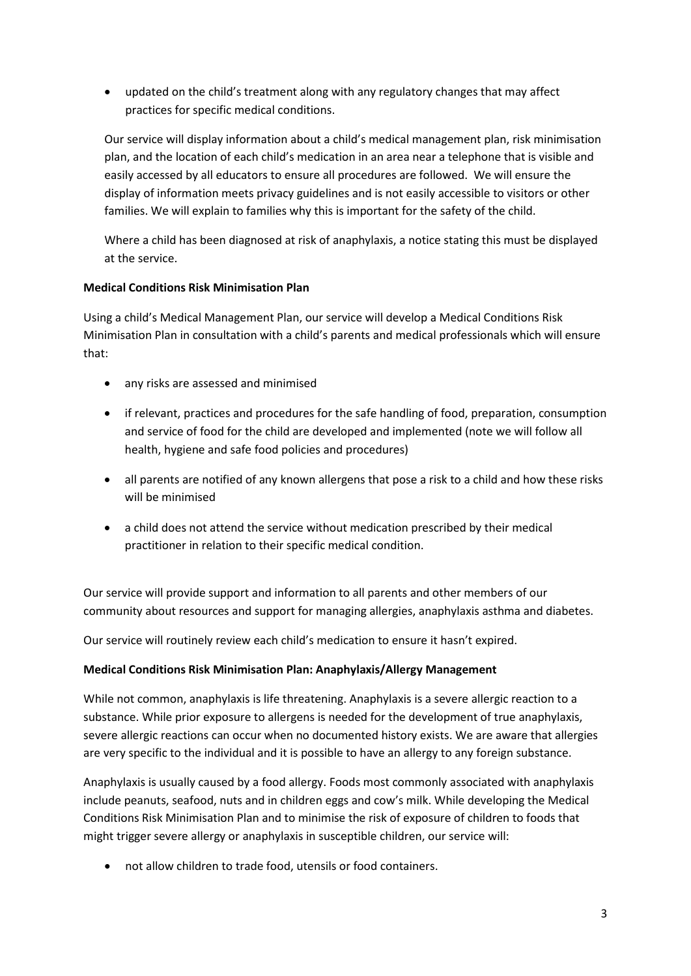• updated on the child's treatment along with any regulatory changes that may affect practices for specific medical conditions.

Our service will display information about a child's medical management plan, risk minimisation plan, and the location of each child's medication in an area near a telephone that is visible and easily accessed by all educators to ensure all procedures are followed. We will ensure the display of information meets privacy guidelines and is not easily accessible to visitors or other families. We will explain to families why this is important for the safety of the child.

Where a child has been diagnosed at risk of anaphylaxis, a notice stating this must be displayed at the service.

## **Medical Conditions Risk Minimisation Plan**

Using a child's Medical Management Plan, our service will develop a Medical Conditions Risk Minimisation Plan in consultation with a child's parents and medical professionals which will ensure that:

- any risks are assessed and minimised
- if relevant, practices and procedures for the safe handling of food, preparation, consumption and service of food for the child are developed and implemented (note we will follow all health, hygiene and safe food policies and procedures)
- all parents are notified of any known allergens that pose a risk to a child and how these risks will be minimised
- a child does not attend the service without medication prescribed by their medical practitioner in relation to their specific medical condition.

Our service will provide support and information to all parents and other members of our community about resources and support for managing allergies, anaphylaxis asthma and diabetes.

Our service will routinely review each child's medication to ensure it hasn't expired.

#### **Medical Conditions Risk Minimisation Plan: Anaphylaxis/Allergy Management**

While not common, anaphylaxis is life threatening. Anaphylaxis is a severe allergic reaction to a substance. While prior exposure to allergens is needed for the development of true anaphylaxis, severe allergic reactions can occur when no documented history exists. We are aware that allergies are very specific to the individual and it is possible to have an allergy to any foreign substance.

Anaphylaxis is usually caused by a food allergy. Foods most commonly associated with anaphylaxis include peanuts, seafood, nuts and in children eggs and cow's milk. While developing the Medical Conditions Risk Minimisation Plan and to minimise the risk of exposure of children to foods that might trigger severe allergy or anaphylaxis in susceptible children, our service will:

• not allow children to trade food, utensils or food containers.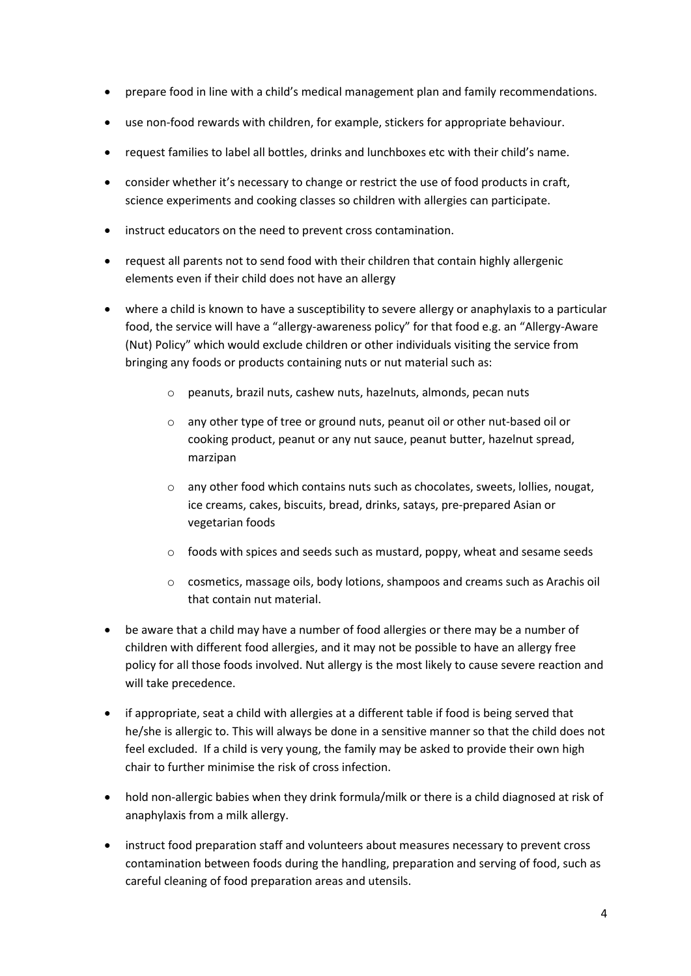- prepare food in line with a child's medical management plan and family recommendations.
- use non-food rewards with children, for example, stickers for appropriate behaviour.
- request families to label all bottles, drinks and lunchboxes etc with their child's name.
- consider whether it's necessary to change or restrict the use of food products in craft, science experiments and cooking classes so children with allergies can participate.
- instruct educators on the need to prevent cross contamination.
- request all parents not to send food with their children that contain highly allergenic elements even if their child does not have an allergy
- where a child is known to have a susceptibility to severe allergy or anaphylaxis to a particular food, the service will have a "allergy-awareness policy" for that food e.g. an "Allergy-Aware (Nut) Policy" which would exclude children or other individuals visiting the service from bringing any foods or products containing nuts or nut material such as:
	- o peanuts, brazil nuts, cashew nuts, hazelnuts, almonds, pecan nuts
	- o any other type of tree or ground nuts, peanut oil or other nut-based oil or cooking product, peanut or any nut sauce, peanut butter, hazelnut spread, marzipan
	- $\circ$  any other food which contains nuts such as chocolates, sweets, lollies, nougat, ice creams, cakes, biscuits, bread, drinks, satays, pre-prepared Asian or vegetarian foods
	- $\circ$  foods with spices and seeds such as mustard, poppy, wheat and sesame seeds
	- o cosmetics, massage oils, body lotions, shampoos and creams such as Arachis oil that contain nut material.
- be aware that a child may have a number of food allergies or there may be a number of children with different food allergies, and it may not be possible to have an allergy free policy for all those foods involved. Nut allergy is the most likely to cause severe reaction and will take precedence.
- if appropriate, seat a child with allergies at a different table if food is being served that he/she is allergic to. This will always be done in a sensitive manner so that the child does not feel excluded. If a child is very young, the family may be asked to provide their own high chair to further minimise the risk of cross infection.
- hold non-allergic babies when they drink formula/milk or there is a child diagnosed at risk of anaphylaxis from a milk allergy.
- instruct food preparation staff and volunteers about measures necessary to prevent cross contamination between foods during the handling, preparation and serving of food, such as careful cleaning of food preparation areas and utensils.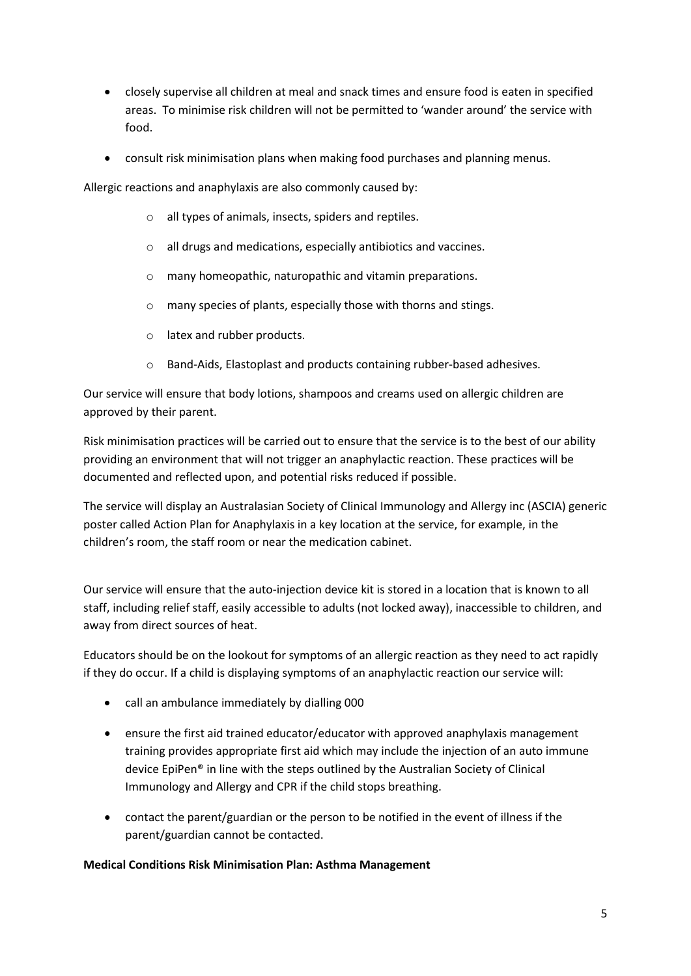- closely supervise all children at meal and snack times and ensure food is eaten in specified areas. To minimise risk children will not be permitted to 'wander around' the service with food.
- consult risk minimisation plans when making food purchases and planning menus.

Allergic reactions and anaphylaxis are also commonly caused by:

- o all types of animals, insects, spiders and reptiles.
- o all drugs and medications, especially antibiotics and vaccines.
- o many homeopathic, naturopathic and vitamin preparations.
- o many species of plants, especially those with thorns and stings.
- o latex and rubber products.
- o Band-Aids, Elastoplast and products containing rubber-based adhesives.

Our service will ensure that body lotions, shampoos and creams used on allergic children are approved by their parent.

Risk minimisation practices will be carried out to ensure that the service is to the best of our ability providing an environment that will not trigger an anaphylactic reaction. These practices will be documented and reflected upon, and potential risks reduced if possible.

The service will display an Australasian Society of Clinical Immunology and Allergy inc (ASCIA) generic poster called Action Plan for Anaphylaxis in a key location at the service, for example, in the children's room, the staff room or near the medication cabinet.

Our service will ensure that the auto-injection device kit is stored in a location that is known to all staff, including relief staff, easily accessible to adults (not locked away), inaccessible to children, and away from direct sources of heat.

Educators should be on the lookout for symptoms of an allergic reaction as they need to act rapidly if they do occur. If a child is displaying symptoms of an anaphylactic reaction our service will:

- call an ambulance immediately by dialling 000
- ensure the first aid trained educator/educator with approved anaphylaxis management training provides appropriate first aid which may include the injection of an auto immune device EpiPen® in line with the steps outlined by the Australian Society of Clinical Immunology and Allergy and CPR if the child stops breathing.
- contact the parent/guardian or the person to be notified in the event of illness if the parent/guardian cannot be contacted.

#### **Medical Conditions Risk Minimisation Plan: Asthma Management**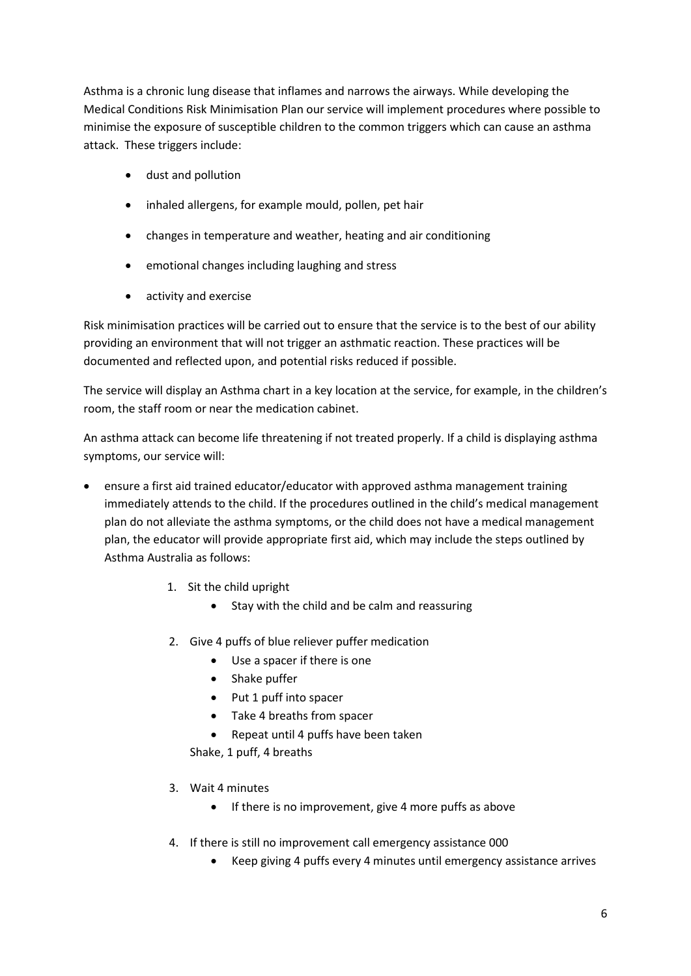Asthma is a chronic lung disease that inflames and narrows the airways. While developing the Medical Conditions Risk Minimisation Plan our service will implement procedures where possible to minimise the exposure of susceptible children to the common triggers which can cause an asthma attack. These triggers include:

- dust and pollution
- inhaled allergens, for example mould, pollen, pet hair
- changes in temperature and weather, heating and air conditioning
- emotional changes including laughing and stress
- activity and exercise

Risk minimisation practices will be carried out to ensure that the service is to the best of our ability providing an environment that will not trigger an asthmatic reaction. These practices will be documented and reflected upon, and potential risks reduced if possible.

The service will display an Asthma chart in a key location at the service, for example, in the children's room, the staff room or near the medication cabinet.

An asthma attack can become life threatening if not treated properly. If a child is displaying asthma symptoms, our service will:

- ensure a first aid trained educator/educator with approved asthma management training immediately attends to the child. If the procedures outlined in the child's medical management plan do not alleviate the asthma symptoms, or the child does not have a medical management plan, the educator will provide appropriate first aid, which may include the steps outlined by Asthma Australia as follows:
	- 1. Sit the child upright
		- Stay with the child and be calm and reassuring
	- 2. Give 4 puffs of blue reliever puffer medication
		- Use a spacer if there is one
		- Shake puffer
		- Put 1 puff into spacer
		- Take 4 breaths from spacer
		- Repeat until 4 puffs have been taken

Shake, 1 puff, 4 breaths

- 3. Wait 4 minutes
	- If there is no improvement, give 4 more puffs as above
- 4. If there is still no improvement call emergency assistance 000
	- Keep giving 4 puffs every 4 minutes until emergency assistance arrives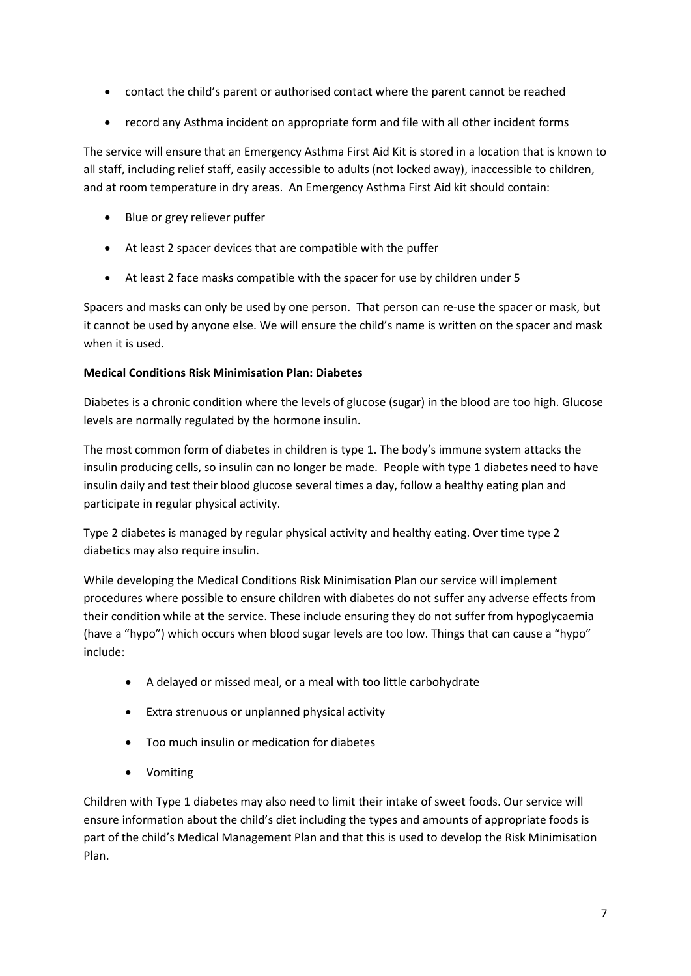- contact the child's parent or authorised contact where the parent cannot be reached
- record any Asthma incident on appropriate form and file with all other incident forms

The service will ensure that an Emergency Asthma First Aid Kit is stored in a location that is known to all staff, including relief staff, easily accessible to adults (not locked away), inaccessible to children, and at room temperature in dry areas. An Emergency Asthma First Aid kit should contain:

- Blue or grey reliever puffer
- At least 2 spacer devices that are compatible with the puffer
- At least 2 face masks compatible with the spacer for use by children under 5

Spacers and masks can only be used by one person. That person can re-use the spacer or mask, but it cannot be used by anyone else. We will ensure the child's name is written on the spacer and mask when it is used.

## **Medical Conditions Risk Minimisation Plan: Diabetes**

Diabetes is a chronic condition where the levels of glucose (sugar) in the blood are too high. Glucose levels are normally regulated by the hormone insulin.

The most common form of diabetes in children is type 1. The body's immune system attacks the insulin producing cells, so insulin can no longer be made. People with type 1 diabetes need to have insulin daily and test their blood glucose several times a day, follow a healthy eating plan and participate in regular physical activity.

Type 2 diabetes is managed by regular physical activity and healthy eating. Over time type 2 diabetics may also require insulin.

While developing the Medical Conditions Risk Minimisation Plan our service will implement procedures where possible to ensure children with diabetes do not suffer any adverse effects from their condition while at the service. These include ensuring they do not suffer from hypoglycaemia (have a "hypo") which occurs when blood sugar levels are too low. Things that can cause a "hypo" include:

- A delayed or missed meal, or a meal with too little carbohydrate
- Extra strenuous or unplanned physical activity
- Too much insulin or medication for diabetes
- Vomiting

Children with Type 1 diabetes may also need to limit their intake of sweet foods. Our service will ensure information about the child's diet including the types and amounts of appropriate foods is part of the child's Medical Management Plan and that this is used to develop the Risk Minimisation Plan.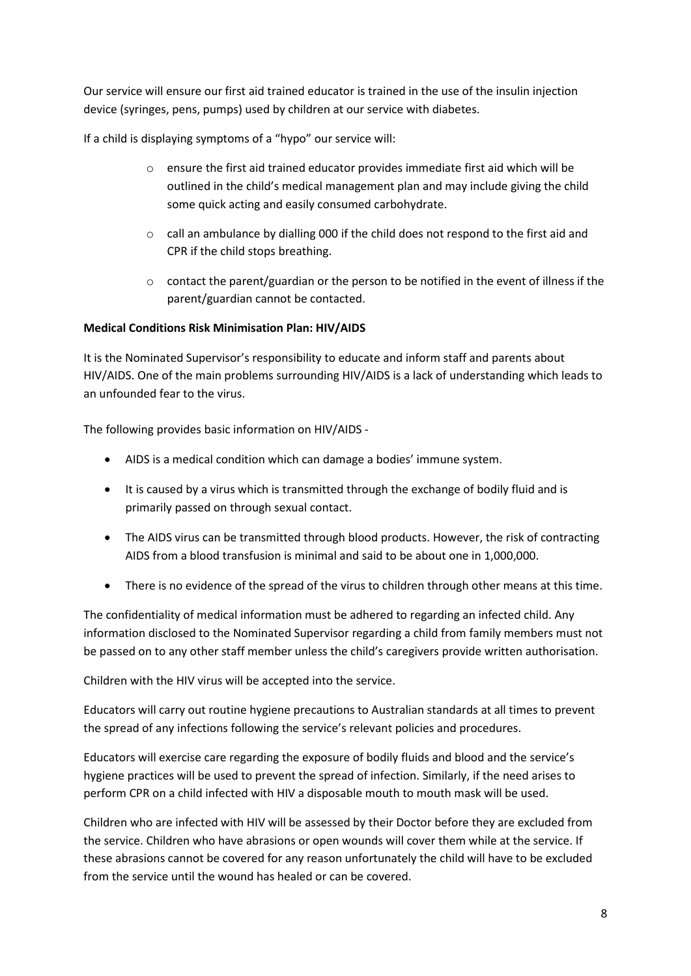Our service will ensure our first aid trained educator is trained in the use of the insulin injection device (syringes, pens, pumps) used by children at our service with diabetes.

If a child is displaying symptoms of a "hypo" our service will:

- $\circ$  ensure the first aid trained educator provides immediate first aid which will be outlined in the child's medical management plan and may include giving the child some quick acting and easily consumed carbohydrate.
- $\circ$  call an ambulance by dialling 000 if the child does not respond to the first aid and CPR if the child stops breathing.
- $\circ$  contact the parent/guardian or the person to be notified in the event of illness if the parent/guardian cannot be contacted.

## **Medical Conditions Risk Minimisation Plan: HIV/AIDS**

It is the Nominated Supervisor's responsibility to educate and inform staff and parents about HIV/AIDS. One of the main problems surrounding HIV/AIDS is a lack of understanding which leads to an unfounded fear to the virus.

The following provides basic information on HIV/AIDS -

- AIDS is a medical condition which can damage a bodies' immune system.
- It is caused by a virus which is transmitted through the exchange of bodily fluid and is primarily passed on through sexual contact.
- The AIDS virus can be transmitted through blood products. However, the risk of contracting AIDS from a blood transfusion is minimal and said to be about one in 1,000,000.
- There is no evidence of the spread of the virus to children through other means at this time.

The confidentiality of medical information must be adhered to regarding an infected child. Any information disclosed to the Nominated Supervisor regarding a child from family members must not be passed on to any other staff member unless the child's caregivers provide written authorisation.

Children with the HIV virus will be accepted into the service.

Educators will carry out routine hygiene precautions to Australian standards at all times to prevent the spread of any infections following the service's relevant policies and procedures.

Educators will exercise care regarding the exposure of bodily fluids and blood and the service's hygiene practices will be used to prevent the spread of infection. Similarly, if the need arises to perform CPR on a child infected with HIV a disposable mouth to mouth mask will be used.

Children who are infected with HIV will be assessed by their Doctor before they are excluded from the service. Children who have abrasions or open wounds will cover them while at the service. If these abrasions cannot be covered for any reason unfortunately the child will have to be excluded from the service until the wound has healed or can be covered.